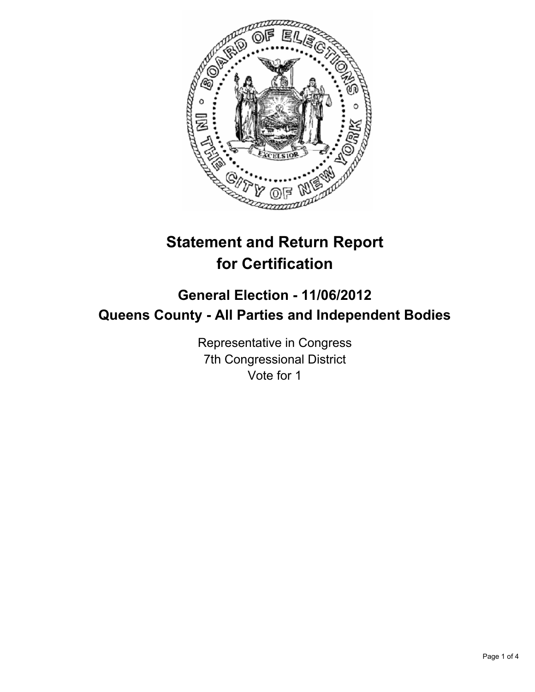

# **Statement and Return Report for Certification**

## **General Election - 11/06/2012 Queens County - All Parties and Independent Bodies**

Representative in Congress 7th Congressional District Vote for 1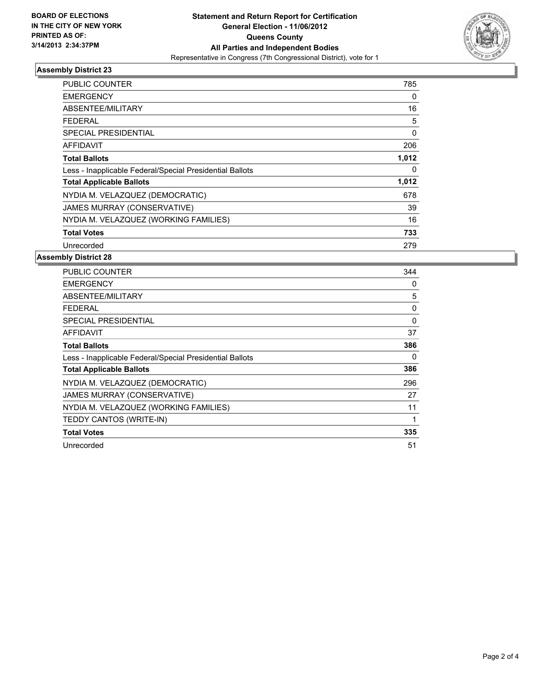

### **Assembly District 23**

| PUBLIC COUNTER                                           | 785   |
|----------------------------------------------------------|-------|
| <b>EMERGENCY</b>                                         | 0     |
| ABSENTEE/MILITARY                                        | 16    |
| FEDERAL                                                  | 5     |
| SPECIAL PRESIDENTIAL                                     | 0     |
| AFFIDAVIT                                                | 206   |
| <b>Total Ballots</b>                                     | 1,012 |
| Less - Inapplicable Federal/Special Presidential Ballots | 0     |
| <b>Total Applicable Ballots</b>                          | 1,012 |
| NYDIA M. VELAZQUEZ (DEMOCRATIC)                          | 678   |
| JAMES MURRAY (CONSERVATIVE)                              | 39    |
| NYDIA M. VELAZQUEZ (WORKING FAMILIES)                    | 16    |
| <b>Total Votes</b>                                       | 733   |
| Unrecorded                                               | 279   |

### **Assembly District 28**

| <b>PUBLIC COUNTER</b>                                    | 344      |
|----------------------------------------------------------|----------|
| <b>EMERGENCY</b>                                         | 0        |
| ABSENTEE/MILITARY                                        | 5        |
| <b>FEDERAL</b>                                           | 0        |
| <b>SPECIAL PRESIDENTIAL</b>                              | $\Omega$ |
| <b>AFFIDAVIT</b>                                         | 37       |
| <b>Total Ballots</b>                                     | 386      |
| Less - Inapplicable Federal/Special Presidential Ballots | 0        |
| <b>Total Applicable Ballots</b>                          | 386      |
| NYDIA M. VELAZQUEZ (DEMOCRATIC)                          | 296      |
| JAMES MURRAY (CONSERVATIVE)                              | 27       |
| NYDIA M. VELAZQUEZ (WORKING FAMILIES)                    | 11       |
| TEDDY CANTOS (WRITE-IN)                                  |          |
| <b>Total Votes</b>                                       | 335      |
| Unrecorded                                               | 51       |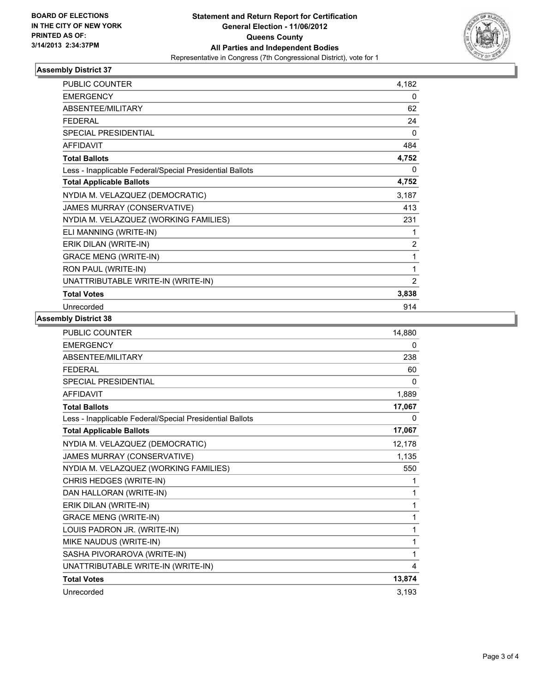

### **Assembly District 37**

| <b>PUBLIC COUNTER</b>                                    | 4,182          |
|----------------------------------------------------------|----------------|
| <b>EMERGENCY</b>                                         | 0              |
| ABSENTEE/MILITARY                                        | 62             |
| <b>FEDERAL</b>                                           | 24             |
| <b>SPECIAL PRESIDENTIAL</b>                              | $\Omega$       |
| <b>AFFIDAVIT</b>                                         | 484            |
| <b>Total Ballots</b>                                     | 4,752          |
| Less - Inapplicable Federal/Special Presidential Ballots | 0              |
| <b>Total Applicable Ballots</b>                          | 4,752          |
| NYDIA M. VELAZQUEZ (DEMOCRATIC)                          | 3,187          |
| JAMES MURRAY (CONSERVATIVE)                              | 413            |
| NYDIA M. VELAZQUEZ (WORKING FAMILIES)                    | 231            |
| ELI MANNING (WRITE-IN)                                   | 1              |
| ERIK DILAN (WRITE-IN)                                    | $\overline{2}$ |
| <b>GRACE MENG (WRITE-IN)</b>                             | 1              |
| RON PAUL (WRITE-IN)                                      | 1              |
| UNATTRIBUTABLE WRITE-IN (WRITE-IN)                       | $\overline{2}$ |
| <b>Total Votes</b>                                       | 3,838          |
| Unrecorded                                               | 914            |

### **Assembly District 38**

| <b>PUBLIC COUNTER</b>                                    | 14,880 |
|----------------------------------------------------------|--------|
| <b>EMERGENCY</b>                                         | 0      |
| ABSENTEE/MILITARY                                        | 238    |
| <b>FFDFRAL</b>                                           | 60     |
| <b>SPECIAL PRESIDENTIAL</b>                              | 0      |
| <b>AFFIDAVIT</b>                                         | 1,889  |
| <b>Total Ballots</b>                                     | 17,067 |
| Less - Inapplicable Federal/Special Presidential Ballots | 0      |
| <b>Total Applicable Ballots</b>                          | 17,067 |
| NYDIA M. VELAZQUEZ (DEMOCRATIC)                          | 12,178 |
| JAMES MURRAY (CONSERVATIVE)                              | 1,135  |
| NYDIA M. VELAZQUEZ (WORKING FAMILIES)                    | 550    |
| CHRIS HEDGES (WRITE-IN)                                  | 1      |
| DAN HALLORAN (WRITE-IN)                                  | 1      |
| ERIK DILAN (WRITE-IN)                                    | 1      |
| <b>GRACE MENG (WRITE-IN)</b>                             | 1      |
| LOUIS PADRON JR. (WRITE-IN)                              | 1      |
| MIKE NAUDUS (WRITE-IN)                                   | 1      |
| SASHA PIVORAROVA (WRITE-IN)                              | 1      |
| UNATTRIBUTABLE WRITE-IN (WRITE-IN)                       | 4      |
| <b>Total Votes</b>                                       | 13,874 |
| Unrecorded                                               | 3,193  |
|                                                          |        |